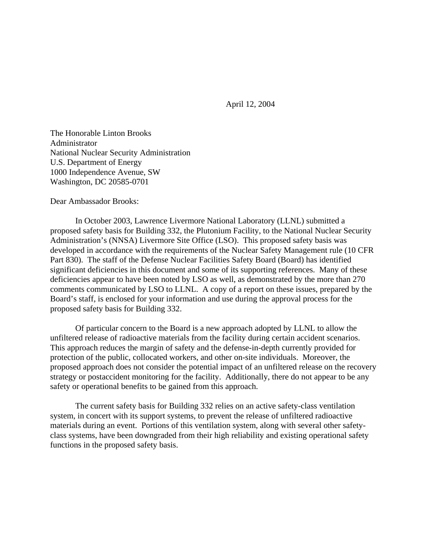April 12, 2004

The Honorable Linton Brooks Administrator National Nuclear Security Administration U.S. Department of Energy 1000 Independence Avenue, SW Washington, DC 20585-0701

Dear Ambassador Brooks:

In October 2003, Lawrence Livermore National Laboratory (LLNL) submitted a proposed safety basis for Building 332, the Plutonium Facility, to the National Nuclear Security Administration's (NNSA) Livermore Site Office (LSO). This proposed safety basis was developed in accordance with the requirements of the Nuclear Safety Management rule (10 CFR Part 830). The staff of the Defense Nuclear Facilities Safety Board (Board) has identified significant deficiencies in this document and some of its supporting references. Many of these deficiencies appear to have been noted by LSO as well, as demonstrated by the more than 270 comments communicated by LSO to LLNL. A copy of a report on these issues, prepared by the Board's staff, is enclosed for your information and use during the approval process for the proposed safety basis for Building 332.

Of particular concern to the Board is a new approach adopted by LLNL to allow the unfiltered release of radioactive materials from the facility during certain accident scenarios. This approach reduces the margin of safety and the defense-in-depth currently provided for protection of the public, collocated workers, and other on-site individuals. Moreover, the proposed approach does not consider the potential impact of an unfiltered release on the recovery strategy or postaccident monitoring for the facility. Additionally, there do not appear to be any safety or operational benefits to be gained from this approach.

The current safety basis for Building 332 relies on an active safety-class ventilation system, in concert with its support systems, to prevent the release of unfiltered radioactive materials during an event. Portions of this ventilation system, along with several other safetyclass systems, have been downgraded from their high reliability and existing operational safety functions in the proposed safety basis.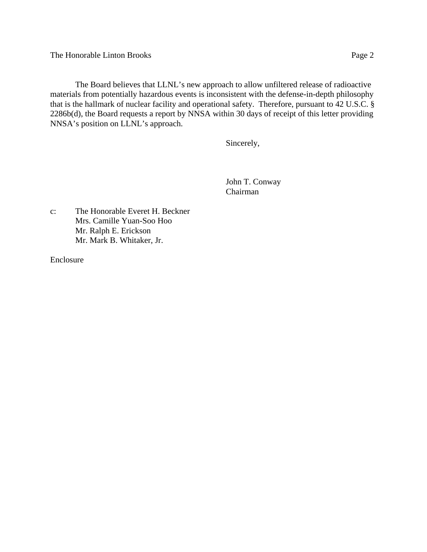The Honorable Linton Brooks Page 2

The Board believes that LLNL's new approach to allow unfiltered release of radioactive materials from potentially hazardous events is inconsistent with the defense-in-depth philosophy that is the hallmark of nuclear facility and operational safety. Therefore, pursuant to 42 U.S.C. § 2286b(d), the Board requests a report by NNSA within 30 days of receipt of this letter providing NNSA's position on LLNL's approach.

Sincerely,

John T. Conway Chairman

c: The Honorable Everet H. Beckner Mrs. Camille Yuan-Soo Hoo Mr. Ralph E. Erickson Mr. Mark B. Whitaker, Jr.

Enclosure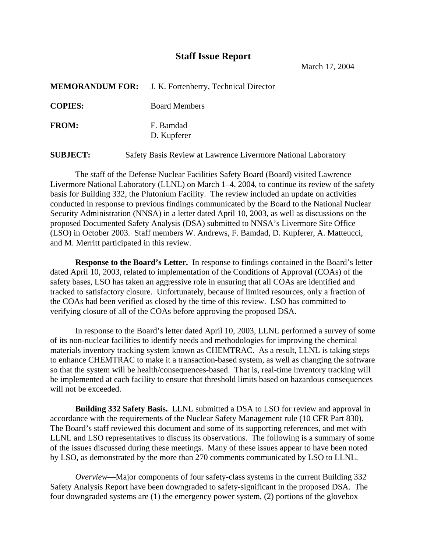## **Staff Issue Report**

March 17, 2004

|                | <b>MEMORANDUM FOR:</b> J. K. Fortenberry, Technical Director |
|----------------|--------------------------------------------------------------|
| <b>COPIES:</b> | <b>Board Members</b>                                         |
| <b>FROM:</b>   | F. Bamdad<br>D. Kupferer                                     |

**SUBJECT:** Safety Basis Review at Lawrence Livermore National Laboratory

The staff of the Defense Nuclear Facilities Safety Board (Board) visited Lawrence Livermore National Laboratory (LLNL) on March 1–4, 2004, to continue its review of the safety basis for Building 332, the Plutonium Facility. The review included an update on activities conducted in response to previous findings communicated by the Board to the National Nuclear Security Administration (NNSA) in a letter dated April 10, 2003, as well as discussions on the proposed Documented Safety Analysis (DSA) submitted to NNSA's Livermore Site Office (LSO) in October 2003. Staff members W. Andrews, F. Bamdad, D. Kupferer, A. Matteucci, and M. Merritt participated in this review.

**Response to the Board's Letter.** In response to findings contained in the Board's letter dated April 10, 2003, related to implementation of the Conditions of Approval (COAs) of the safety bases, LSO has taken an aggressive role in ensuring that all COAs are identified and tracked to satisfactory closure. Unfortunately, because of limited resources, only a fraction of the COAs had been verified as closed by the time of this review. LSO has committed to verifying closure of all of the COAs before approving the proposed DSA.

In response to the Board's letter dated April 10, 2003, LLNL performed a survey of some of its non-nuclear facilities to identify needs and methodologies for improving the chemical materials inventory tracking system known as CHEMTRAC. As a result, LLNL is taking steps to enhance CHEMTRAC to make it a transaction-based system, as well as changing the software so that the system will be health/consequences-based. That is, real-time inventory tracking will be implemented at each facility to ensure that threshold limits based on hazardous consequences will not be exceeded.

**Building 332 Safety Basis.** LLNL submitted a DSA to LSO for review and approval in accordance with the requirements of the Nuclear Safety Management rule (10 CFR Part 830). The Board's staff reviewed this document and some of its supporting references, and met with LLNL and LSO representatives to discuss its observations. The following is a summary of some of the issues discussed during these meetings. Many of these issues appear to have been noted by LSO, as demonstrated by the more than 270 comments communicated by LSO to LLNL.

*Overview*—Major components of four safety-class systems in the current Building 332 Safety Analysis Report have been downgraded to safety-significant in the proposed DSA. The four downgraded systems are (1) the emergency power system, (2) portions of the glovebox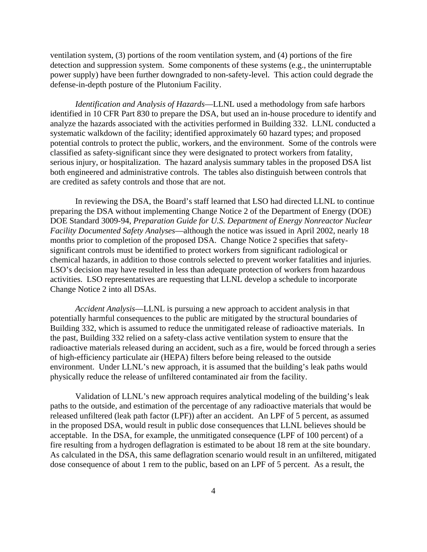ventilation system, (3) portions of the room ventilation system, and (4) portions of the fire detection and suppression system. Some components of these systems (e.g., the uninterruptable power supply) have been further downgraded to non-safety-level. This action could degrade the defense-in-depth posture of the Plutonium Facility.

*Identification and Analysis of Hazards*—LLNL used a methodology from safe harbors identified in 10 CFR Part 830 to prepare the DSA, but used an in-house procedure to identify and analyze the hazards associated with the activities performed in Building 332. LLNL conducted a systematic walkdown of the facility; identified approximately 60 hazard types; and proposed potential controls to protect the public, workers, and the environment. Some of the controls were classified as safety-significant since they were designated to protect workers from fatality, serious injury, or hospitalization. The hazard analysis summary tables in the proposed DSA list both engineered and administrative controls. The tables also distinguish between controls that are credited as safety controls and those that are not.

In reviewing the DSA, the Board's staff learned that LSO had directed LLNL to continue preparing the DSA without implementing Change Notice 2 of the Department of Energy (DOE) DOE Standard 3009-94, *Preparation Guide for U.S. Department of Energy Nonreactor Nuclear Facility Documented Safety Analyses*—although the notice was issued in April 2002, nearly 18 months prior to completion of the proposed DSA. Change Notice 2 specifies that safetysignificant controls must be identified to protect workers from significant radiological or chemical hazards, in addition to those controls selected to prevent worker fatalities and injuries. LSO's decision may have resulted in less than adequate protection of workers from hazardous activities. LSO representatives are requesting that LLNL develop a schedule to incorporate Change Notice 2 into all DSAs.

*Accident Analysis*—LLNL is pursuing a new approach to accident analysis in that potentially harmful consequences to the public are mitigated by the structural boundaries of Building 332, which is assumed to reduce the unmitigated release of radioactive materials. In the past, Building 332 relied on a safety-class active ventilation system to ensure that the radioactive materials released during an accident, such as a fire, would be forced through a series of high-efficiency particulate air (HEPA) filters before being released to the outside environment. Under LLNL's new approach, it is assumed that the building's leak paths would physically reduce the release of unfiltered contaminated air from the facility.

Validation of LLNL's new approach requires analytical modeling of the building's leak paths to the outside, and estimation of the percentage of any radioactive materials that would be released unfiltered (leak path factor (LPF)) after an accident. An LPF of 5 percent, as assumed in the proposed DSA, would result in public dose consequences that LLNL believes should be acceptable. In the DSA, for example, the unmitigated consequence (LPF of 100 percent) of a fire resulting from a hydrogen deflagration is estimated to be about 18 rem at the site boundary. As calculated in the DSA, this same deflagration scenario would result in an unfiltered, mitigated dose consequence of about 1 rem to the public, based on an LPF of 5 percent. As a result, the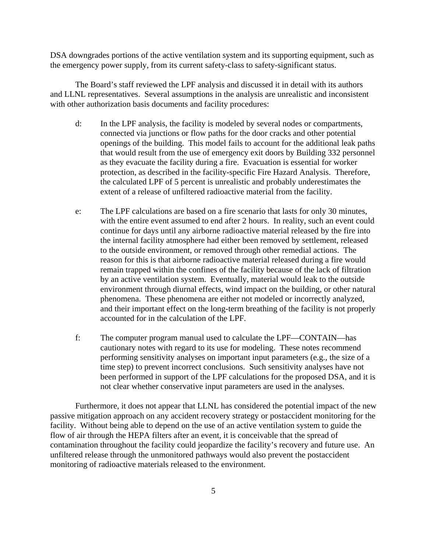DSA downgrades portions of the active ventilation system and its supporting equipment, such as the emergency power supply, from its current safety-class to safety-significant status.

The Board's staff reviewed the LPF analysis and discussed it in detail with its authors and LLNL representatives. Several assumptions in the analysis are unrealistic and inconsistent with other authorization basis documents and facility procedures:

- d: In the LPF analysis, the facility is modeled by several nodes or compartments, connected via junctions or flow paths for the door cracks and other potential openings of the building. This model fails to account for the additional leak paths that would result from the use of emergency exit doors by Building 332 personnel as they evacuate the facility during a fire. Evacuation is essential for worker protection, as described in the facility-specific Fire Hazard Analysis. Therefore, the calculated LPF of 5 percent is unrealistic and probably underestimates the extent of a release of unfiltered radioactive material from the facility.
- e: The LPF calculations are based on a fire scenario that lasts for only 30 minutes, with the entire event assumed to end after 2 hours. In reality, such an event could continue for days until any airborne radioactive material released by the fire into the internal facility atmosphere had either been removed by settlement, released to the outside environment, or removed through other remedial actions. The reason for this is that airborne radioactive material released during a fire would remain trapped within the confines of the facility because of the lack of filtration by an active ventilation system. Eventually, material would leak to the outside environment through diurnal effects, wind impact on the building, or other natural phenomena. These phenomena are either not modeled or incorrectly analyzed, and their important effect on the long-term breathing of the facility is not properly accounted for in the calculation of the LPF.
- f: The computer program manual used to calculate the LPF—CONTAIN—has cautionary notes with regard to its use for modeling. These notes recommend performing sensitivity analyses on important input parameters (e.g., the size of a time step) to prevent incorrect conclusions. Such sensitivity analyses have not been performed in support of the LPF calculations for the proposed DSA, and it is not clear whether conservative input parameters are used in the analyses.

Furthermore, it does not appear that LLNL has considered the potential impact of the new passive mitigation approach on any accident recovery strategy or postaccident monitoring for the facility. Without being able to depend on the use of an active ventilation system to guide the flow of air through the HEPA filters after an event, it is conceivable that the spread of contamination throughout the facility could jeopardize the facility's recovery and future use. An unfiltered release through the unmonitored pathways would also prevent the postaccident monitoring of radioactive materials released to the environment.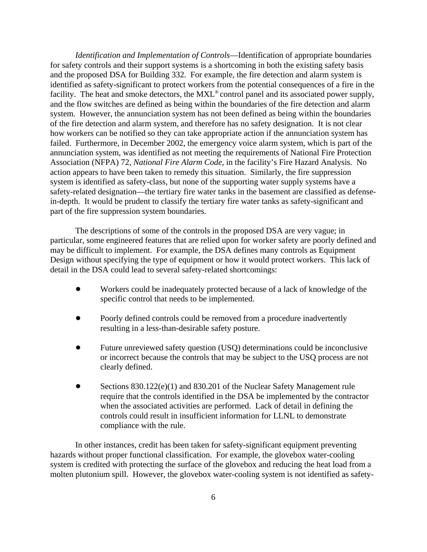*Identification and Implementation of Controls*—Identification of appropriate boundaries for safety controls and their support systems is a shortcoming in both the existing safety basis and the proposed DSA for Building 332. For example, the fire detection and alarm system is identified as safety-significant to protect workers from the potential consequences of a fire in the facility. The heat and smoke detectors, the  $MXL^{\circledcirc}$  control panel and its associated power supply, and the flow switches are defined as being within the boundaries of the fire detection and alarm system. However, the annunciation system has not been defined as being within the boundaries of the fire detection and alarm system, and therefore has no safety designation. It is not clear how workers can be notified so they can take appropriate action if the annunciation system has failed. Furthermore, in December 2002, the emergency voice alarm system, which is part of the annunciation system, was identified as not meeting the requirements of National Fire Protection Association (NFPA) 72, *National Fire Alarm Code*, in the facility's Fire Hazard Analysis. No action appears to have been taken to remedy this situation. Similarly, the fire suppression system is identified as safety-class, but none of the supporting water supply systems have a safety-related designation—the tertiary fire water tanks in the basement are classified as defensein-depth. It would be prudent to classify the tertiary fire water tanks as safety-significant and part of the fire suppression system boundaries.

The descriptions of some of the controls in the proposed DSA are very vague; in particular, some engineered features that are relied upon for worker safety are poorly defined and may be difficult to implement. For example, the DSA defines many controls as Equipment Design without specifying the type of equipment or how it would protect workers. This lack of detail in the DSA could lead to several safety-related shortcomings:

- Workers could be inadequately protected because of a lack of knowledge of the specific control that needs to be implemented.
- ! Poorly defined controls could be removed from a procedure inadvertently resulting in a less-than-desirable safety posture.
- ! Future unreviewed safety question (USQ) determinations could be inconclusive or incorrect because the controls that may be subject to the USQ process are not clearly defined.
- Sections 830.122(e)(1) and 830.201 of the Nuclear Safety Management rule require that the controls identified in the DSA be implemented by the contractor when the associated activities are performed. Lack of detail in defining the controls could result in insufficient information for LLNL to demonstrate compliance with the rule.

In other instances, credit has been taken for safety-significant equipment preventing hazards without proper functional classification. For example, the glovebox water-cooling system is credited with protecting the surface of the glovebox and reducing the heat load from a molten plutonium spill. However, the glovebox water-cooling system is not identified as safety